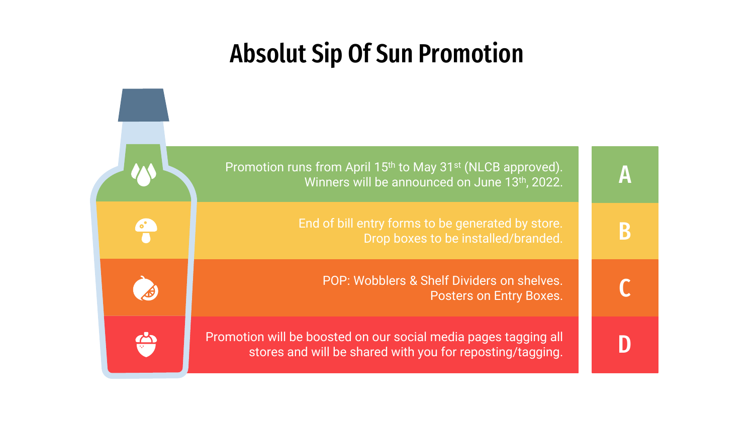### Absolut Sip Of Sun Promotion

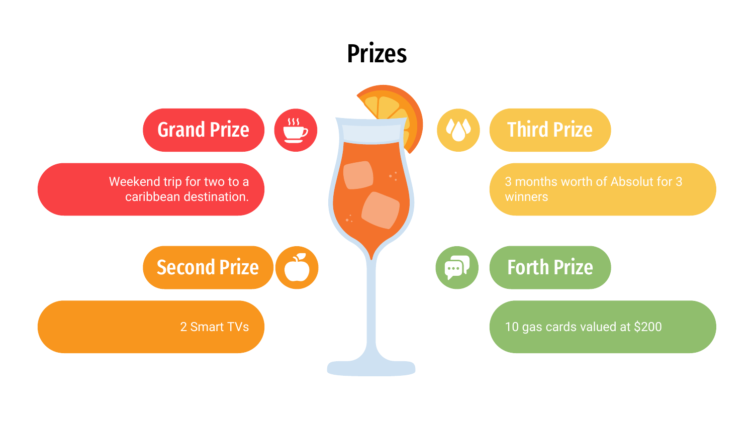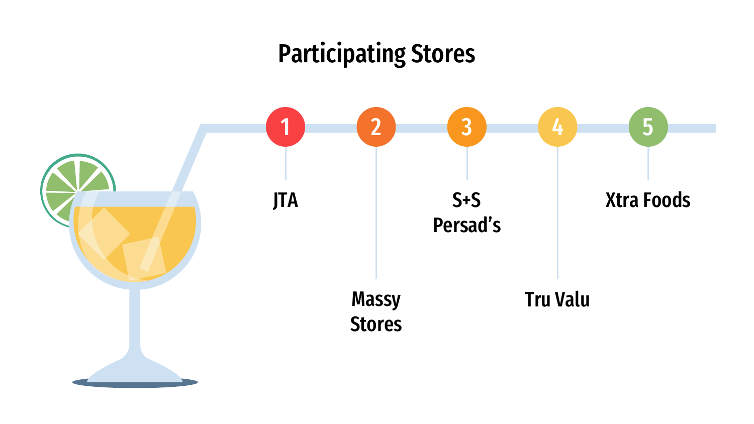# Participating Stores

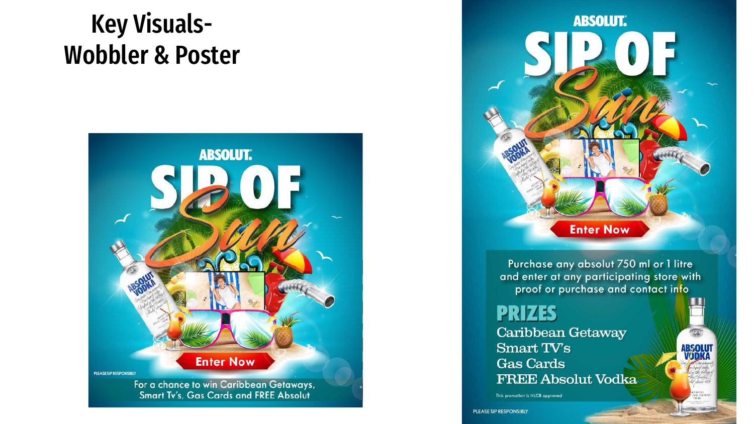### Key Visuals-Wobbler & Poster





Purchase any absolut 750 ml or 1 litre and enter at any participating store with proof or purchase and contact info

**ABSOLU<br>VADKA** 

**PRIZES** Caribbean Getaway **Smart TV's Gas Cards FREE Absolut Vodka** 

This promotion is NLCB approved

PLEASE SIP RESPONSIBLY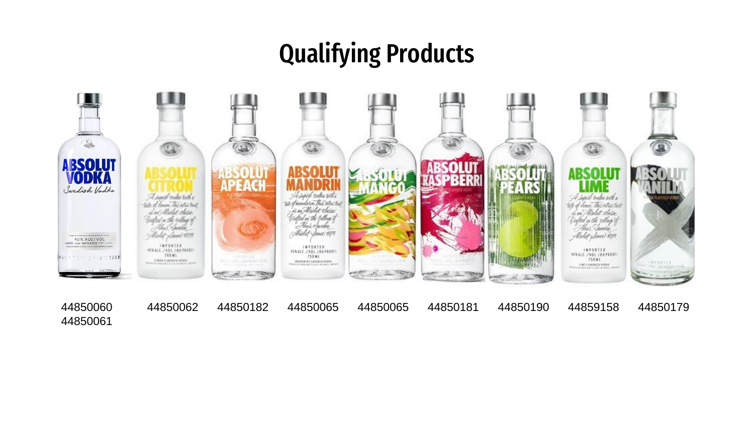### Qualifying Products



44850060 44850061

44850062 44850182 44850065 44850065 44850181 44850190 44859158 44850179